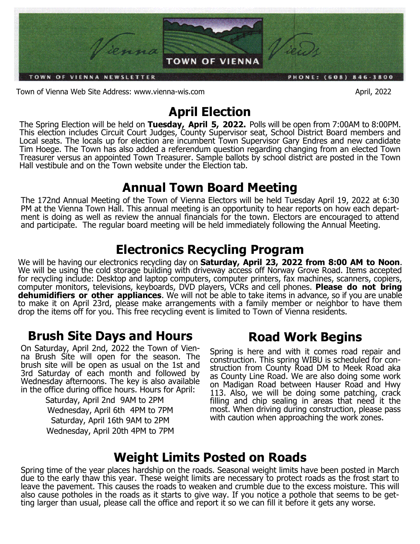

Town of Vienna Web Site Address: www.vienna-wis.com **April, 2022** 

# **April Election**

The Spring Election will be held on **Tuesday, April 5, 2022.** Polls will be open from 7:00AM to 8:00PM. This election includes Circuit Court Judges, County Supervisor seat, School District Board members and Local seats. The locals up for election are incumbent Town Supervisor Gary Endres and new candidate Tim Hoege. The Town has also added a referendum question regarding changing from an elected Town Treasurer versus an appointed Town Treasurer. Sample ballots by school district are posted in the Town Hall vestibule and on the Town website under the Election tab.

# **Annual Town Board Meeting**

The 172nd Annual Meeting of the Town of Vienna Electors will be held Tuesday April 19, 2022 at 6:30 PM at the Vienna Town Hall. This annual meeting is an opportunity to hear reports on how each department is doing as well as review the annual financials for the town. Electors are encouraged to attend and participate. The regular board meeting will be held immediately following the Annual Meeting.

# **Electronics Recycling Program**

We will be having our electronics recycling day on **Saturday, April 23, 2022 from 8:00 AM to Noon**. We will be using the cold storage building with driveway access off Norway Grove Road. Items accepted for recycling include: Desktop and laptop computers, computer printers, fax machines, scanners, copiers, computer monitors, televisions, keyboards, DVD players, VCRs and cell phones. **Please do not bring dehumidifiers or other appliances**. We will not be able to take items in advance, so if you are unable to make it on April 23rd, please make arrangements with a family member or neighbor to have them drop the items off for you. This free recycling event is limited to Town of Vienna residents.

# **Brush Site Days and Hours**

On Saturday, April 2nd, 2022 the Town of Vienna Brush Site will open for the season. The brush site will be open as usual on the 1st and 3rd Saturday of each month and followed by Wednesday afternoons. The key is also available in the office during office hours. Hours for April:

> Saturday, April 2nd 9AM to 2PM Wednesday, April 6th 4PM to 7PM Saturday, April 16th 9AM to 2PM Wednesday, April 20th 4PM to 7PM

# **Road Work Begins**

Spring is here and with it comes road repair and construction. This spring WIBU is scheduled for construction from County Road DM to Meek Road aka as County Line Road. We are also doing some work on Madigan Road between Hauser Road and Hwy 113. Also, we will be doing some patching, crack filling and chip sealing in areas that need it the most. When driving during construction, please pass with caution when approaching the work zones.

# **Weight Limits Posted on Roads**

Spring time of the year places hardship on the roads. Seasonal weight limits have been posted in March due to the early thaw this year. These weight limits are necessary to protect roads as the frost start to leave the pavement. This causes the roads to weaken and crumble due to the excess moisture. This will also cause potholes in the roads as it starts to give way. If you notice a pothole that seems to be getting larger than usual, please call the office and report it so we can fill it before it gets any worse.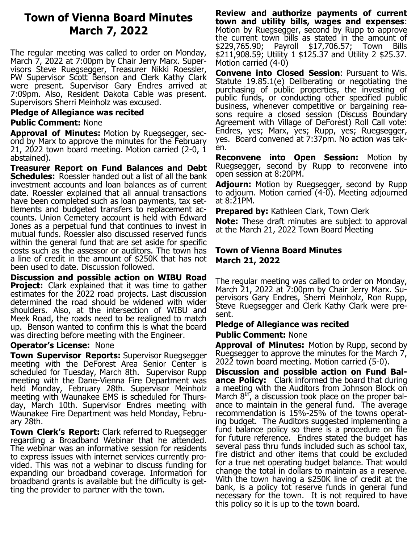## **Town of Vienna Board Minutes March 7, 2022**

The regular meeting was called to order on Monday, March 7, 2022 at 7:00pm by Chair Jerry Marx. Supervisors Steve Ruegsegger, Treasurer Nikki Roessler, PW Supervisor Scott Benson and Clerk Kathy Clark were present. Supervisor Gary Endres arrived at 7:09pm. Also, Resident Dakota Cable was present. Supervisors Sherri Meinholz was excused.

### **Pledge of Allegiance was recited**

### **Public Comment:** None

**Approval of Minutes:** Motion by Ruegsegger, second by Marx to approve the minutes for the February 21, 2022 town board meeting. Motion carried (2-0, 1 abstained).

**Treasurer Report on Fund Balances and Debt Schedules:** Roessler handed out a list of all the bank investment accounts and loan balances as of current date. Roessler explained that all annual transactions have been completed such as loan payments, tax settlements and budgeted transfers to replacement accounts. Union Cemetery account is held with Edward Jones as a perpetual fund that continues to invest in mutual funds. Roessler also discussed reserved funds within the general fund that are set aside for specific costs such as the assessor or auditors. The town has a line of credit in the amount of \$250K that has not been used to date. Discussion followed.

**Discussion and possible action on WIBU Road Project:** Clark explained that it was time to gather estimates for the 2022 road projects. Last discussion determined the road should be widened with wider shoulders. Also, at the intersection of WIBU and Meek Road, the roads need to be realigned to match up. Benson wanted to confirm this is what the board was directing before meeting with the Engineer.

#### **Operator's License:** None

**Town Supervisor Reports:** Supervisor Ruegsegger meeting with the DeForest Area Senior Center is scheduled for Tuesday, March 8th. Supervisor Rupp meeting with the Dane-Vienna Fire Department was held Monday, February 28th. Supervisor Meinholz meeting with Waunakee EMS is scheduled for Thursday, March 10th. Supervisor Endres meeting with Waunakee Fire Department was held Monday, February 28th.

**Town Clerk's Report:** Clark referred to Ruegsegger regarding a Broadband Webinar that he attended. The webinar was an informative session for residents to express issues with internet services currently provided. This was not a webinar to discuss funding for expanding our broadband coverage. Information for broadband grants is available but the difficulty is getting the provider to partner with the town.

**Review and authorize payments of current town and utility bills, wages and expenses**: Motion by Ruegsegger, second by Rupp to approve the current town bills as stated in the amount of \$229,765.90; Payroll \$17,706.57; Town Bills \$211,908.59; Utility 1 \$125.37 and Utility 2 \$25.37. Motion carried (4-0)

**Convene into Closed Session**: Pursuant to Wis. Statute 19.85.1(e) Deliberating or negotiating the purchasing of public properties, the investing of public funds, or conducting other specified public business, whenever competitive or bargaining reasons require a closed session (Discuss Boundary Agreement with Village of DeForest) Roll Call vote: Endres, yes; Marx, yes; Rupp, yes; Ruegsegger, yes. Board convened at 7:37pm. No action was taken.

**Reconvene into Open Session:** Motion by Ruegsegger, second by Rupp to reconvene into open session at 8:20PM.

**Adjourn:** Motion by Ruegsegger, second by Rupp to adjourn. Motion carried (4-0). Meeting adjourned at 8:21PM.

**Prepared by:** Kathleen Clark, Town Clerk

**Note:** These draft minutes are subject to approval at the March 21, 2022 Town Board Meeting

### **Town of Vienna Board Minutes March 21, 2022**

The regular meeting was called to order on Monday, March 21, 2022 at 7:00pm by Chair Jerry Marx. Supervisors Gary Endres, Sherri Meinholz, Ron Rupp, Steve Ruegsegger and Clerk Kathy Clark were present.

## **Pledge of Allegiance was recited**

#### **Public Comment:** None

**Approval of Minutes:** Motion by Rupp, second by Ruegsegger to approve the minutes for the March 7, 2022 town board meeting. Motion carried (5-0).

**Discussion and possible action on Fund Balance Policy:** Clark informed the board that during a meeting with the Auditors from Johnson Block on March  $8<sup>tn</sup>$ , a discussion took place on the proper balance to maintain in the general fund. The average recommendation is 15%-25% of the towns operating budget. The Auditors suggested implementing a fund balance policy so there is a procedure on file for future reference. Endres stated the budget has several pass thru funds included such as school tax, fire district and other items that could be excluded for a true net operating budget balance. That would change the total in dollars to maintain as a reserve. With the town having a \$250K line of credit at the bank, is a policy tot reserve funds in general fund necessary for the town. It is not required to have this policy so it is up to the town board.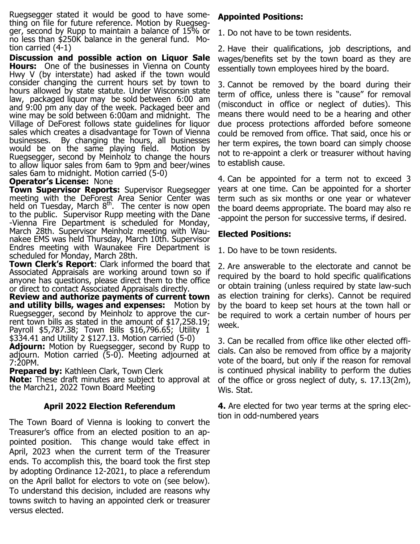Ruegsegger stated it would be good to have something on file for future reference. Motion by Ruegsegger, second by Rupp to maintain a balance of 15% or no less than \$250K balance in the general fund. Motion carried (4-1)

**Discussion and possible action on Liquor Sale Hours:** One of the businesses in Vienna on County Hwy V (by interstate) had asked if the town would consider changing the current hours set by town to hours allowed by state statute. Under Wisconsin state law, packaged liquor may be sold between 6:00 am and 9:00 pm any day of the week. Packaged beer and wine may be sold between 6:00am and midnight. The Village of DeForest follows state guidelines for liquor sales which creates a disadvantage for Town of Vienna businesses. By changing the hours, all businesses would be on the same playing field. Motion by Ruegsegger, second by Meinholz to change the hours to allow liquor sales from 6am to 9pm and beer/wines sales 6am to midnight. Motion carried (5-0)

#### **Operator's License:** None

**Town Supervisor Reports:** Supervisor Ruegsegger meeting with the DeForest Area Senior Center was held on Tuesday, March  $8<sup>th</sup>$ . The center is now open to the public. Supervisor Rupp meeting with the Dane -Vienna Fire Department is scheduled for Monday, March 28th. Supervisor Meinholz meeting with Waunakee EMS was held Thursday, March 10th. Supervisor Endres meeting with Waunakee Fire Department is scheduled for Monday, March 28th.

**Town Clerk's Report**: Clark informed the board that Associated Appraisals are working around town so if anyone has questions, please direct them to the office or direct to contact Associated Appraisals directly.

**Review and authorize payments of current town and utility bills, wages and expenses:** Motion by Ruegsegger, second by Meinholz to approve the current town bills as stated in the amount of \$17,258.19; Payroll \$5,787.38; Town Bills \$16,796.65; Utility 1 \$334.41 and Utility 2 \$127.13. Motion carried (5-0)

**Adjourn:** Motion by Ruegsegger, second by Rupp to adjourn. Motion carried (5-0). Meeting adjourned at 7:20PM.

**Prepared by: Kathleen Clark, Town Clerk** 

**Note:** These draft minutes are subject to approval at the March21, 2022 Town Board Meeting

### **April 2022 Election Referendum**

The Town Board of Vienna is looking to convert the Treasurer's office from an elected position to an appointed position. This change would take effect in April, 2023 when the current term of the Treasurer ends. To accomplish this, the board took the first step by adopting Ordinance 12-2021, to place a referendum on the April ballot for electors to vote on (see below). To understand this decision, included are reasons why towns switch to having an appointed clerk or treasurer versus elected.

### **Appointed Positions:**

1. Do not have to be town residents.

2. Have their qualifications, job descriptions, and wages/benefits set by the town board as they are essentially town employees hired by the board.

3. Cannot be removed by the board during their term of office, unless there is "cause" for removal (misconduct in office or neglect of duties). This means there would need to be a hearing and other due process protections afforded before someone could be removed from office. That said, once his or her term expires, the town board can simply choose not to re-appoint a clerk or treasurer without having to establish cause.

4. Can be appointed for a term not to exceed 3 years at one time. Can be appointed for a shorter term such as six months or one year or whatever the board deems appropriate. The board may also re -appoint the person for successive terms, if desired.

### **Elected Positions:**

1. Do have to be town residents.

2. Are answerable to the electorate and cannot be required by the board to hold specific qualifications or obtain training (unless required by state law-such as election training for clerks). Cannot be required by the board to keep set hours at the town hall or be required to work a certain number of hours per week.

3. Can be recalled from office like other elected officials. Can also be removed from office by a majority vote of the board, but only if the reason for removal is continued physical inability to perform the duties of the office or gross neglect of duty, s. 17.13(2m), Wis. Stat.

**4.** Are elected for two year terms at the spring election in odd-numbered years